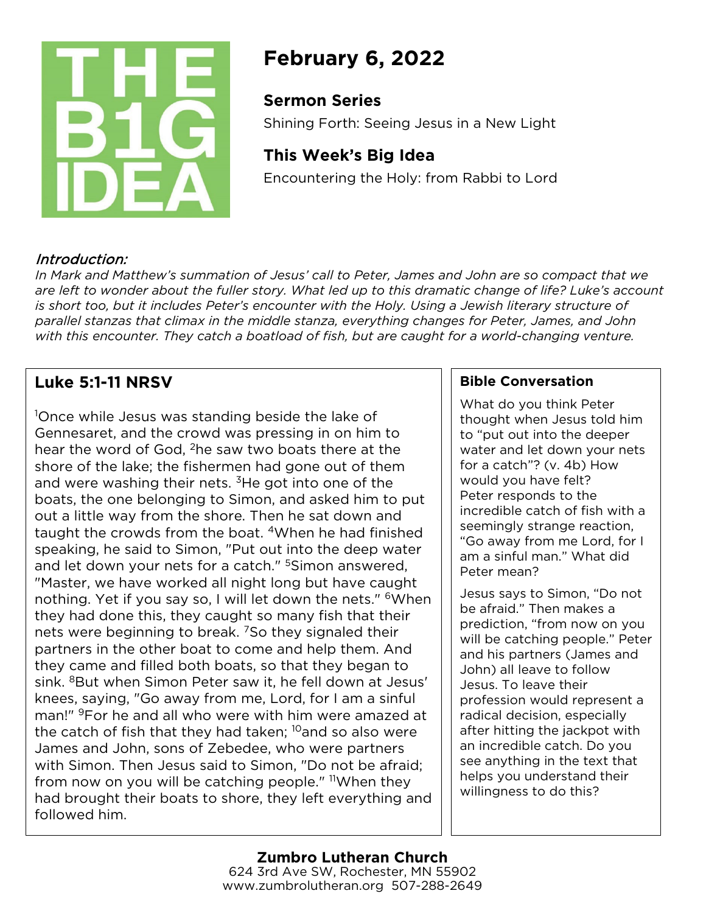

# **February 6, 2022**

## **Sermon Series**

Shining Forth: Seeing Jesus in a New Light

# **This Week's Big Idea**

Encountering the Holy: from Rabbi to Lord

## Introduction:

*In Mark and Matthew's summation of Jesus' call to Peter, James and John are so compact that we are left to wonder about the fuller story. What led up to this dramatic change of life? Luke's account is short too, but it includes Peter's encounter with the Holy. Using a Jewish literary structure of parallel stanzas that climax in the middle stanza, everything changes for Peter, James, and John with this encounter. They catch a boatload of fish, but are caught for a world-changing venture.* 

# **Luke 5:1-11 NRSV**

1 Once while Jesus was standing beside the lake of Gennesaret, and the crowd was pressing in on him to hear the word of God, <sup>2</sup>he saw two boats there at the shore of the lake; the fishermen had gone out of them and were washing their nets.  $3H$ e got into one of the boats, the one belonging to Simon, and asked him to put out a little way from the shore. Then he sat down and taught the crowds from the boat. 4When he had finished speaking, he said to Simon, "Put out into the deep water and let down your nets for a catch." <sup>5</sup>Simon answered, "Master, we have worked all night long but have caught nothing. Yet if you say so, I will let down the nets." <sup>6</sup>When they had done this, they caught so many fish that their nets were beginning to break. <sup>7</sup>So they signaled their partners in the other boat to come and help them. And they came and filled both boats, so that they began to sink. <sup>8</sup>But when Simon Peter saw it, he fell down at Jesus' knees, saying, "Go away from me, Lord, for I am a sinful man!" <sup>9</sup>For he and all who were with him were amazed at the catch of fish that they had taken;  $^{10}$ and so also were James and John, sons of Zebedee, who were partners with Simon. Then Jesus said to Simon, "Do not be afraid; from now on you will be catching people."  $\frac{11}{10}$ When they had brought their boats to shore, they left everything and followed him.

### **Bible Conversation**

What do you think Peter thought when Jesus told him to "put out into the deeper water and let down your nets for a catch"? (v. 4b) How would you have felt? Peter responds to the incredible catch of fish with a seemingly strange reaction, "Go away from me Lord, for I am a sinful man." What did Peter mean?

Jesus says to Simon, "Do not be afraid." Then makes a prediction, "from now on you will be catching people." Peter and his partners (James and John) all leave to follow Jesus. To leave their profession would represent a radical decision, especially after hitting the jackpot with an incredible catch. Do you see anything in the text that helps you understand their willingness to do this?